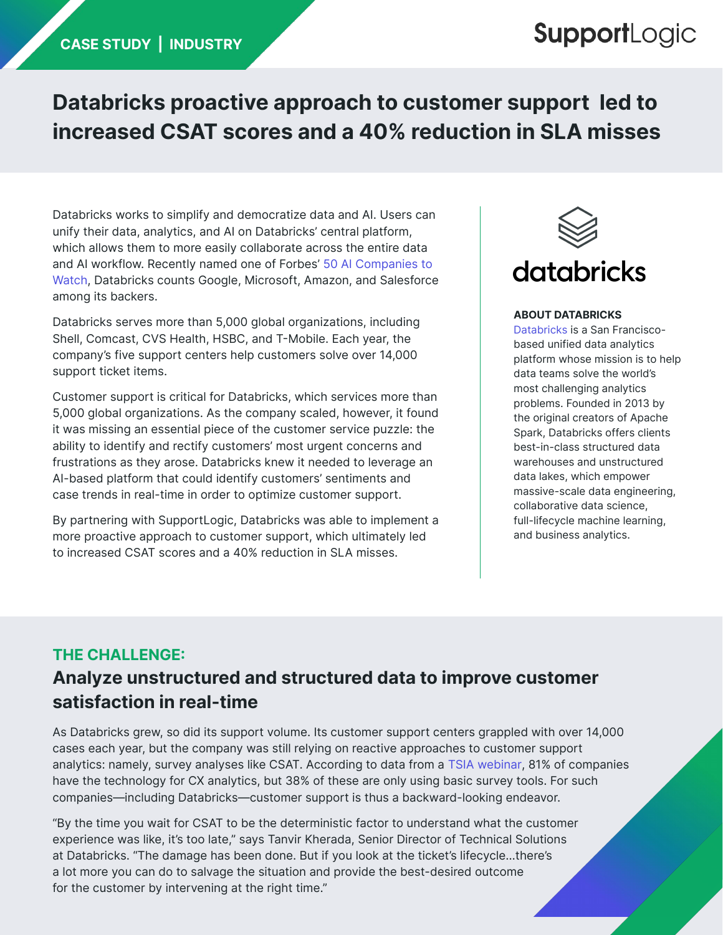## **SupportLogic**

## **Databricks proactive approach to customer support led to increased CSAT scores and a 40% reduction in SLA misses**

Databricks works to simplify and democratize data and AI. Users can unify their data, analytics, and AI on Databricks' central platform, which allows them to more easily collaborate across the entire data and AI workflow. Recently named one of Forbes' [50 AI Companies to](https://www.forbes.com/sites/alanohnsman/2021/04/26/ai-50-americas-most-promising-artificial-intelligence-companies/?sh=4ef6c02d77cf)  [Watch](https://www.forbes.com/sites/alanohnsman/2021/04/26/ai-50-americas-most-promising-artificial-intelligence-companies/?sh=4ef6c02d77cf), Databricks counts Google, Microsoft, Amazon, and Salesforce among its backers.

Databricks serves more than 5,000 global organizations, including Shell, Comcast, CVS Health, HSBC, and T-Mobile. Each year, the company's five support centers help customers solve over 14,000 support ticket items.

Customer support is critical for Databricks, which services more than 5,000 global organizations. As the company scaled, however, it found it was missing an essential piece of the customer service puzzle: the ability to identify and rectify customers' most urgent concerns and frustrations as they arose. Databricks knew it needed to leverage an AI-based platform that could identify customers' sentiments and case trends in real-time in order to optimize customer support.

By partnering with SupportLogic, Databricks was able to implement a more proactive approach to customer support, which ultimately led to increased CSAT scores and a 40% reduction in SLA misses.



#### **ABOUT DATABRICKS**

[Databricks](https://databricks.com/) is a San Franciscobased unified data analytics platform whose mission is to help data teams solve the world's most challenging analytics problems. Founded in 2013 by the original creators of Apache Spark, Databricks offers clients best-in-class structured data warehouses and unstructured data lakes, which empower massive-scale data engineering, collaborative data science, full-lifecycle machine learning, and business analytics.

### **THE CHALLENGE: Analyze unstructured and structured data to improve customer satisfaction in real-time**

As Databricks grew, so did its support volume. Its customer support centers grappled with over 14,000 cases each year, but the company was still relying on reactive approaches to customer support analytics: namely, survey analyses like CSAT. According to data from a [TSIA webinar](https://www.youtube.com/watch?v=-CUv5ilmezw), 81% of companies have the technology for CX analytics, but 38% of these are only using basic survey tools. For such companies—including Databricks—customer support is thus a backward-looking endeavor.

"By the time you wait for CSAT to be the deterministic factor to understand what the customer experience was like, it's too late," says Tanvir Kherada, Senior Director of Technical Solutions at Databricks. "The damage has been done. But if you look at the ticket's lifecycle…there's a lot more you can do to salvage the situation and provide the best-desired outcome for the customer by intervening at the right time."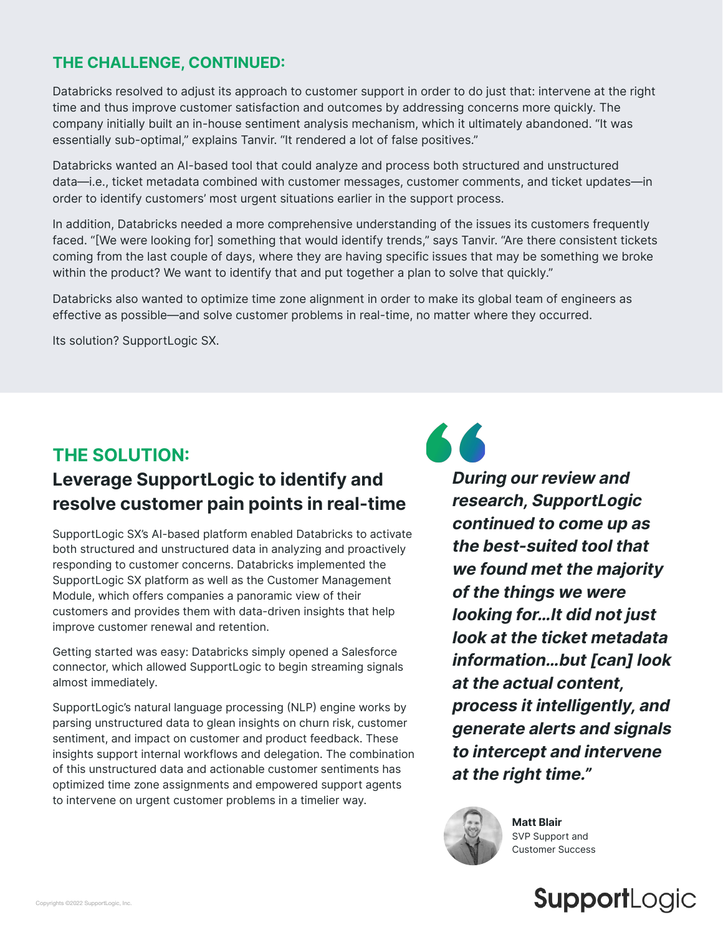#### **THE CHALLENGE, CONTINUED:**

Databricks resolved to adjust its approach to customer support in order to do just that: intervene at the right time and thus improve customer satisfaction and outcomes by addressing concerns more quickly. The company initially built an in-house sentiment analysis mechanism, which it ultimately abandoned. "It was essentially sub-optimal," explains Tanvir. "It rendered a lot of false positives."

Databricks wanted an AI-based tool that could analyze and process both structured and unstructured data—i.e., ticket metadata combined with customer messages, customer comments, and ticket updates—in order to identify customers' most urgent situations earlier in the support process.

In addition, Databricks needed a more comprehensive understanding of the issues its customers frequently faced. "[We were looking for] something that would identify trends," says Tanvir. "Are there consistent tickets coming from the last couple of days, where they are having specific issues that may be something we broke within the product? We want to identify that and put together a plan to solve that quickly."

Databricks also wanted to optimize time zone alignment in order to make its global team of engineers as effective as possible—and solve customer problems in real-time, no matter where they occurred.

Its solution? SupportLogic SX.

## **THE SOLUTION: Leverage SupportLogic to identify and resolve customer pain points in real-time**

SupportLogic SX's AI-based platform enabled Databricks to activate both structured and unstructured data in analyzing and proactively responding to customer concerns. Databricks implemented the SupportLogic SX platform as well as the Customer Management Module, which offers companies a panoramic view of their customers and provides them with data-driven insights that help improve customer renewal and retention.

Getting started was easy: Databricks simply opened a Salesforce connector, which allowed SupportLogic to begin streaming signals almost immediately.

SupportLogic's natural language processing (NLP) engine works by parsing unstructured data to glean insights on churn risk, customer sentiment, and impact on customer and product feedback. These insights support internal workflows and delegation. The combination of this unstructured data and actionable customer sentiments has optimized time zone assignments and empowered support agents to intervene on urgent customer problems in a timelier way.

66

**During our review and research, SupportLogic continued to come up as the best-suited tool that we found met the majority of the things we were looking for…It did not just look at the ticket metadata information…but [can] look at the actual content, process it intelligently, and generate alerts and signals to intercept and intervene at the right time."**



**Matt Blair** SVP Support and Customer Success

## **SupportLogic**